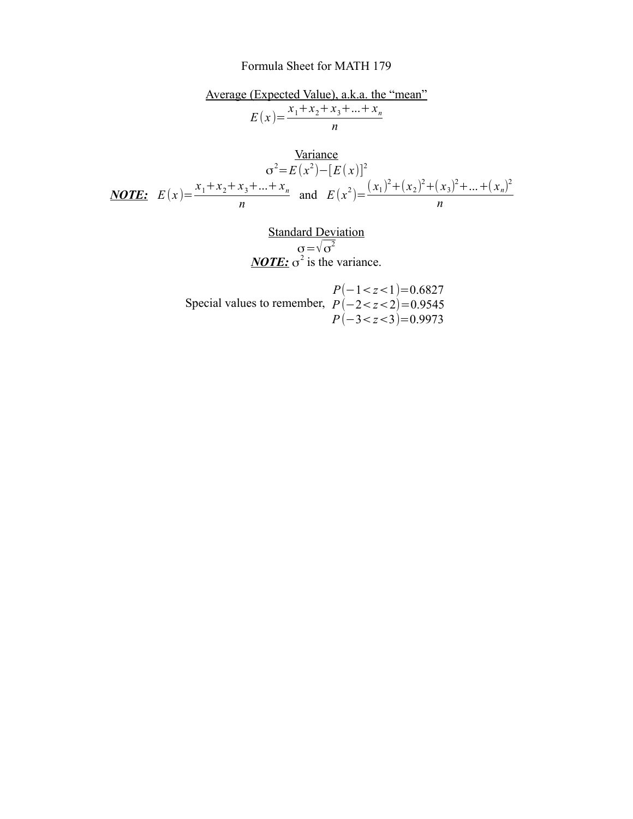## Formula Sheet for MATH 179

Average (Expected Value), a.k.a. the "mean"  
\n
$$
E(x) = \frac{x_1 + x_2 + x_3 + ... + x_n}{n}
$$
\n
$$
\frac{\text{Variance}}{\sigma^2 = E(x^2) - [E(x)]^2}{(x_1)^2 + (x_2)^2 + (x_3)^2 + ... + (x_n)^2}
$$
\n
$$
\text{NOTE: } E(x) = \frac{x_1 + x_2 + x_3 + ... + x_n}{n} \text{ and } E(x^2) = \frac{(x_1)^2 + (x_2)^2 + (x_3)^2 + ... + (x_n)^2}{n}
$$
\nStep dead Deviation

Standard Deviation  
\n
$$
\sigma = \sqrt{\sigma^2}
$$
\n**NOTE:**  $\sigma^2$  is the variance.

Special values to remember,  $P(-2 < z < 2) = 0.9545$ *P*(−1<*z*<1)=0.6827 *P*(−3<*z*<3)=0.9973